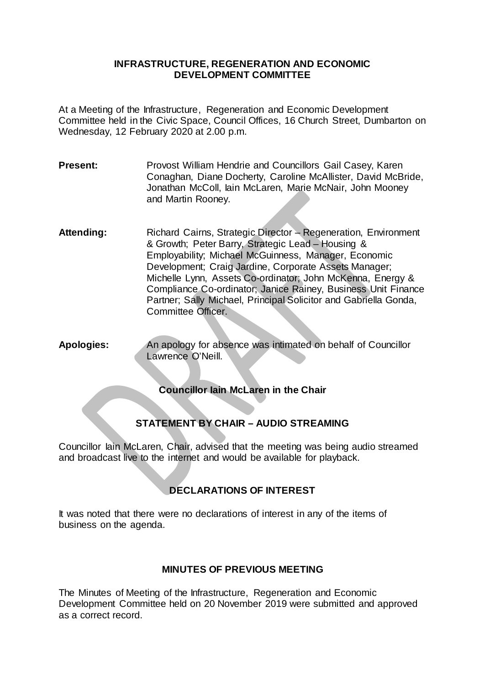### **INFRASTRUCTURE, REGENERATION AND ECONOMIC DEVELOPMENT COMMITTEE**

At a Meeting of the Infrastructure, Regeneration and Economic Development Committee held in the Civic Space, Council Offices, 16 Church Street, Dumbarton on Wednesday, 12 February 2020 at 2.00 p.m.

- **Present:** Provost William Hendrie and Councillors Gail Casey, Karen Conaghan, Diane Docherty, Caroline McAllister, David McBride, Jonathan McColl, Iain McLaren, Marie McNair, John Mooney and Martin Rooney.
- Attending: Richard Cairns, Strategic Director Regeneration, Environment & Growth; Peter Barry, Strategic Lead – Housing & Employability; Michael McGuinness, Manager, Economic Development; Craig Jardine, Corporate Assets Manager; Michelle Lynn, Assets Co-ordinator; John McKenna, Energy & Compliance Co-ordinator; Janice Rainey, Business Unit Finance Partner; Sally Michael, Principal Solicitor and Gabriella Gonda, Committee Officer.
- **Apologies:** An apology for absence was intimated on behalf of Councillor Lawrence O'Neill.

# **Councillor Iain McLaren in the Chair**

# **STATEMENT BY CHAIR – AUDIO STREAMING**

Councillor Iain McLaren, Chair, advised that the meeting was being audio streamed and broadcast live to the internet and would be available for playback.

# **DECLARATIONS OF INTEREST**

It was noted that there were no declarations of interest in any of the items of business on the agenda.

### **MINUTES OF PREVIOUS MEETING**

The Minutes of Meeting of the Infrastructure, Regeneration and Economic Development Committee held on 20 November 2019 were submitted and approved as a correct record.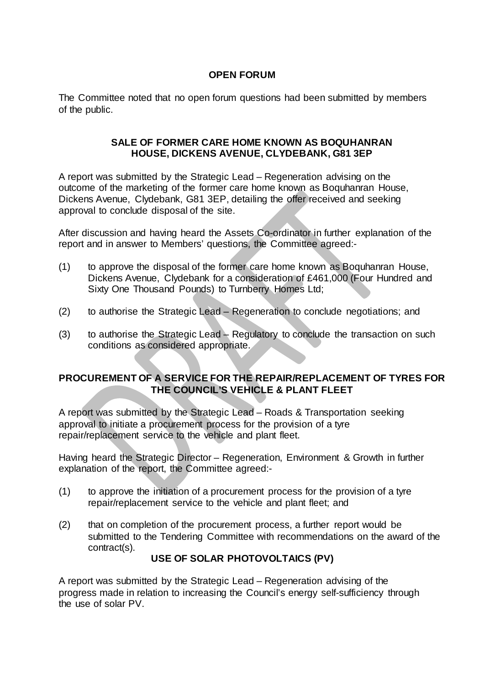## **OPEN FORUM**

The Committee noted that no open forum questions had been submitted by members of the public.

#### **SALE OF FORMER CARE HOME KNOWN AS BOQUHANRAN HOUSE, DICKENS AVENUE, CLYDEBANK, G81 3EP**

A report was submitted by the Strategic Lead – Regeneration advising on the outcome of the marketing of the former care home known as Boquhanran House, Dickens Avenue, Clydebank, G81 3EP, detailing the offer received and seeking approval to conclude disposal of the site.

After discussion and having heard the Assets Co-ordinator in further explanation of the report and in answer to Members' questions, the Committee agreed:-

- (1) to approve the disposal of the former care home known as Boquhanran House, Dickens Avenue, Clydebank for a consideration of £461,000 (Four Hundred and Sixty One Thousand Pounds) to Turnberry Homes Ltd;
- (2) to authorise the Strategic Lead Regeneration to conclude negotiations; and
- (3) to authorise the Strategic Lead Regulatory to conclude the transaction on such conditions as considered appropriate.

### **PROCUREMENT OF A SERVICE FOR THE REPAIR/REPLACEMENT OF TYRES FOR THE COUNCIL'S VEHICLE & PLANT FLEET**

A report was submitted by the Strategic Lead – Roads & Transportation seeking approval to initiate a procurement process for the provision of a tyre repair/replacement service to the vehicle and plant fleet.

Having heard the Strategic Director – Regeneration, Environment & Growth in further explanation of the report, the Committee agreed:-

- (1) to approve the initiation of a procurement process for the provision of a tyre repair/replacement service to the vehicle and plant fleet; and
- (2) that on completion of the procurement process, a further report would be submitted to the Tendering Committee with recommendations on the award of the contract(s).

# **USE OF SOLAR PHOTOVOLTAICS (PV)**

A report was submitted by the Strategic Lead – Regeneration advising of the progress made in relation to increasing the Council's energy self-sufficiency through the use of solar PV.